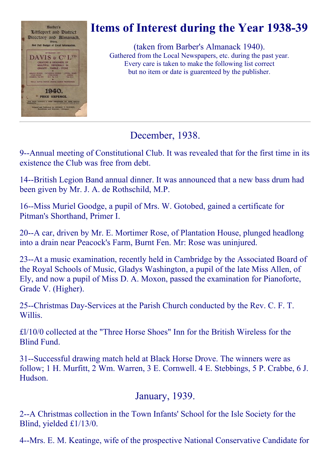

# Items of Interest during the Year 1938-39

(taken from Barber's Almanack 1940). Gathered from the Local Newspapers, etc. during the past year. Every care is taken to make the following list correct but no item or date is guarenteed by the publisher.

December, 1938.

9--Annual meeting of Constitutional Club. It was revealed that for the first time in its existence the Club was free from debt.

14--British Legion Band annual dinner. It was announced that a new bass drum had been given by Mr. J. A. de Rothschild, M.P.

16--Miss Muriel Goodge, a pupil of Mrs. W. Gotobed, gained a certificate for Pitman's Shorthand, Primer I.

20--A car, driven by Mr. E. Mortimer Rose, of Plantation House, plunged headlong into a drain near Peacock's Farm, Burnt Fen. Mr: Rose was uninjured.

23--At a music examination, recently held in Cambridge by the Associated Board of the Royal Schools of Music, Gladys Washington, a pupil of the late Miss Allen, of Ely, and now a pupil of Miss D. A. Moxon, passed the examination for Pianoforte, Grade V. (Higher).

25--Christmas Day-Services at the Parish Church conducted by the Rev. C. F. T. Willis.

£l/10/0 collected at the "Three Horse Shoes" Inn for the British Wireless for the Blind Fund.

31-Successful drawing match held at Black Horse Drove. The winners were as follow; 1 H. Murfitt, 2 Wm. Warren, 3 E. Cornwell. 4 E. Stebbings, 5 P. Crabbe, 6 J. Hudson.

# January, 1939.

2--A Christmas collection in the Town Infants' School for the Isle Society for the Blind, yielded £1/13/0.

4--Mrs. E. M. Keatinge, wife of the prospective National Conservative Candidate for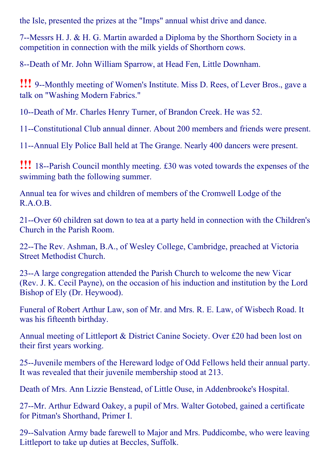the Isle, presented the prizes at the "Imps" annual whist drive and dance.

7--Messrs H. J. & H. G. Martin awarded a Diploma by the Shorthorn Society in a competition in connection with the milk yields of Shorthorn cows.

8--Death of Mr. John William Sparrow, at Head Fen, Little Downham.

**!!!** 9--Monthly meeting of Women's Institute. Miss D. Rees, of Lever Bros., gave a talk on "Washing Modern Fabrics."

10--Death of Mr. Charles Henry Turner, of Brandon Creek. He was 52.

11--Constitutional Club annual dinner. About 200 members and friends were present.

11--Annual Ely Police Ball held at The Grange. Nearly 400 dancers were present.

**!!!** 18--Parish Council monthly meeting. £30 was voted towards the expenses of the swimming bath the following summer.

Annual tea for wives and children of members of the Cromwell Lodge of the R.A.O.B.

21--Over 60 children sat down to tea at a party held in connection with the Children's Church in the Parish Room.

22--The Rev. Ashman, B.A., of Wesley College, Cambridge, preached at Victoria Street Methodist Church.

23--A large congregation attended the Parish Church to welcome the new Vicar (Rev. J. K. Cecil Payne), on the occasion of his induction and institution by the Lord Bishop of Ely (Dr. Heywood).

Funeral of Robert Arthur Law, son of Mr. and Mrs. R. E. Law, of Wisbech Road. It was his fifteenth birthday.

Annual meeting of Littleport & District Canine Society. Over £20 had been lost on their first years working.

25--Juvenile members of the Hereward lodge of Odd Fellows held their annual party. It was revealed that their juvenile membership stood at 213.

Death of Mrs. Ann Lizzie Benstead, of Little Ouse, in Addenbrooke's Hospital.

27--Mr. Arthur Edward Oakey, a pupil of Mrs. Walter Gotobed, gained a certificate for Pitman's Shorthand, Primer I.

29--Salvation Army bade farewell to Major and Mrs. Puddicombe, who were leaving Littleport to take up duties at Beccles, Suffolk.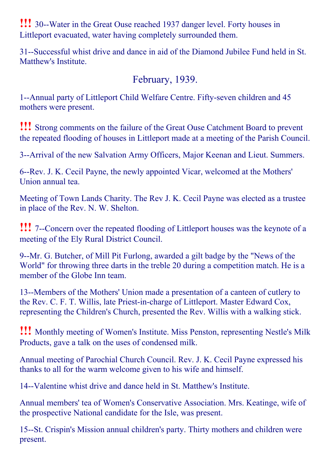**!!!** 30--Water in the Great Ouse reached 1937 danger level. Forty houses in Littleport evacuated, water having completely surrounded them.

31--Successful whist drive and dance in aid of the Diamond Jubilee Fund held in St. Matthew's Institute.

## February, 1939.

1--Annual party of Littleport Child Welfare Centre. Fifty-seven children and 45 mothers were present.

!!! Strong comments on the failure of the Great Ouse Catchment Board to prevent the repeated flooding of houses in Littleport made at a meeting of the Parish Council.

3--Arrival of the new Salvation Army Officers, Major Keenan and Lieut. Summers.

6--Rev. J. K. Cecil Payne, the newly appointed Vicar, welcomed at the Mothers' Union annual tea.

Meeting of Town Lands Charity. The Rev J. K. Cecil Payne was elected as a trustee in place of the Rev. N. W. Shelton.

**!!!** 7--Concern over the repeated flooding of Littleport houses was the keynote of a meeting of the Ely Rural District Council.

9--Mr. G. Butcher, of Mill Pit Furlong, awarded a gilt badge by the "News of the World" for throwing three darts in the treble 20 during a competition match. He is a member of the Globe Inn team.

13--Members of the Mothers' Union made a presentation of a canteen of cutlery to the Rev. C. F. T. Willis, late Priest-in-charge of Littleport. Master Edward Cox, representing the Children's Church, presented the Rev. Willis with a walking stick.

!!! Monthly meeting of Women's Institute. Miss Penston, representing Nestle's Milk Products, gave a talk on the uses of condensed milk.

Annual meeting of Parochial Church Council. Rev. J. K. Cecil Payne expressed his thanks to all for the warm welcome given to his wife and himself.

14--Valentine whist drive and dance held in St. Matthew's Institute.

Annual members' tea of Women's Conservative Association. Mrs. Keatinge, wife of the prospective National candidate for the Isle, was present.

15--St. Crispin's Mission annual children's party. Thirty mothers and children were present.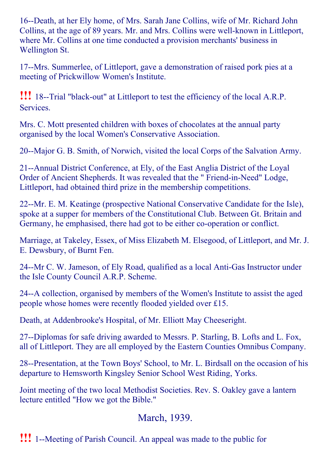16--Death, at her Ely home, of Mrs. Sarah Jane Collins, wife of Mr. Richard John Collins, at the age of 89 years. Mr. and Mrs. Collins were well-known in Littleport, where Mr. Collins at one time conducted a provision merchants' business in Wellington St.

17--Mrs. Summerlee, of Littleport, gave a demonstration of raised pork pies at a meeting of Prickwillow Women's Institute.

**!!!** 18--Trial "black-out" at Littleport to test the efficiency of the local A.R.P. Services.

Mrs. C. Mott presented children with boxes of chocolates at the annual party organised by the local Women's Conservative Association.

20--Major G. B. Smith, of Norwich, visited the local Corps of the Salvation Army.

21--Annual District Conference, at Ely, of the East Anglia District of the Loyal Order of Ancient Shepherds. It was revealed that the "Friend-in-Need" Lodge, Littleport, had obtained third prize in the membership competitions.

22--Mr. E. M. Keatinge (prospective National Conservative Candidate for the Isle), spoke at a supper for members of the Constitutional Club. Between Gt. Britain and Germany, he emphasised, there had got to be either co-operation or conflict.

Marriage, at Takeley, Essex, of Miss Elizabeth M. Elsegood, of Littleport, and Mr. J. E. Dewsbury, of Burnt Fen.

24--Mr C. W. Jameson, of Ely Road, qualified as a local Anti-Gas Instructor under the Isle County Council A.R.P. Scheme.

24--A collection, organised by members of the Women's Institute to assist the aged people whose homes were recently flooded yielded over £15.

Death, at Addenbrooke's Hospital, of Mr. Elliott May Cheeseright.

27--Diplomas for safe driving awarded to Messrs. P. Starling, B. Lofts and L. Fox, all of Littleport. They are all employed by the Eastern Counties Omnibus Company.

28--Presentation, at the Town Boys' School, to Mr. L. Birdsall on the occasion of his departure to Hemsworth Kingsley Senior School West Riding, Yorks.

Joint meeting of the two local Methodist Societies. Rev. S. Oakley gave a lantern lecture entitled "How we got the Bible."

# March, 1939.

**!!!** 1--Meeting of Parish Council. An appeal was made to the public for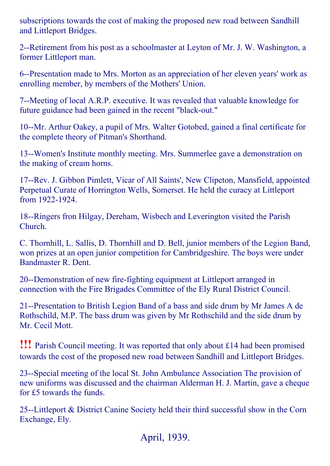subscriptions towards the cost of making the proposed new road between Sandhill and Littleport Bridges.

2--Retirement from his post as a schoolmaster at Leyton of Mr. J. W. Washington, a former Littleport man.

6--Presentation made to Mrs. Morton as an appreciation of her eleven years' work as enrolling member, by members of the Mothers' Union.

7--Meeting of local A.R.P. executive. It was revealed that valuable knowledge for future guidance had been gained in the recent "black-out."

10--Mr. Arthur Oakey, a pupil of Mrs. Walter Gotobed, gained a final certificate for the complete theory of Pitman's Shorthand.

13--Women's Institute monthly meeting. Mrs. Summerlee gave a demonstration on the making of cream horns.

17--Rev. J. Gibbon Pimlett, Vicar of All Saints', New Clipeton, Mansfield, appointed Perpetual Curate of Horrington Wells, Somerset. He held the curacy at Littleport from 1922-1924.

18--Ringers fron Hilgay, Dereham, Wisbech and Leverington visited the Parish Church.

C. Thornhill, L. Sallis, D. Thornhill and D. Bell, junior members of the Legion Band, won prizes at an open junior competition for Cambridgeshire. The boys were under Bandmaster R. Dent.

20--Demonstration of new fire-fighting equipment at Littleport arranged in connection with the Fire Brigades Committee of the Ely Rural District Council.

21--Presentation to British Legion Band of a bass and side drum by Mr James A de Rothschild, M.P. The bass drum was given by Mr Rothschild and the side drum by Mr. Cecil Mott.

!!! Parish Council meeting. It was reported that only about £14 had been promised towards the cost of the proposed new road between Sandhill and Littleport Bridges.

23--Special meeting of the local St. John Ambulance Association The provision of new uniforms was discussed and the chairman Alderman H. J. Martin, gave a cheque for £5 towards the funds.

25--Littleport & District Canine Society held their third successful show in the Corn Exchange, Ely.

April, 1939.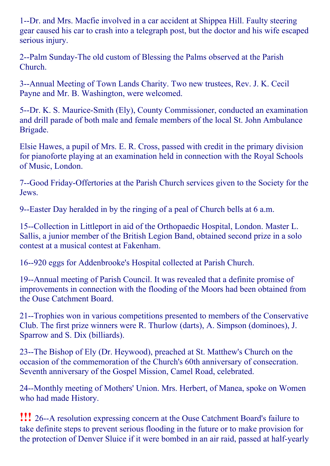1--Dr. and Mrs. Macfie involved in a car accident at Shippea Hill. Faulty steering gear caused his car to crash into a telegraph post, but the doctor and his wife escaped serious injury.

2--Palm Sunday-The old custom of Blessing the Palms observed at the Parish Church.

3--Annual Meeting of Town Lands Charity. Two new trustees, Rev. J. K. Cecil Payne and Mr. B. Washington, were welcomed.

5--Dr. K. S. Maurice-Smith (Ely), County Commissioner, conducted an examination and drill parade of both male and female members of the local St. John Ambulance Brigade.

Elsie Hawes, a pupil of Mrs. E. R. Cross, passed with credit in the primary division for pianoforte playing at an examination held in connection with the Royal Schools of Music, London.

7--Good Friday-Offertories at the Parish Church services given to the Society for the Jews.

9--Easter Day heralded in by the ringing of a peal of Church bells at 6 a.m.

15--Collection in Littleport in aid of the Orthopaedic Hospital, London. Master L. Sallis, a junior member of the British Legion Band, obtained second prize in a solo contest at a musical contest at Fakenham.

16--920 eggs for Addenbrooke's Hospital collected at Parish Church.

19--Annual meeting of Parish Council. It was revealed that a definite promise of improvements in connection with the flooding of the Moors had been obtained from the Ouse Catchment Board.

21--Trophies won in various competitions presented to members of the Conservative Club. The first prize winners were R. Thurlow (darts), A. Simpson (dominoes), J. Sparrow and S. Dix (billiards).

23--The Bishop of Ely (Dr. Heywood), preached at St. Matthew's Church on the occasion of the commemoration of the Church's 60th anniversary of consecration. Seventh anniversary of the Gospel Mission, Camel Road, celebrated.

24--Monthly meeting of Mothers' Union. Mrs. Herbert, of Manea, spoke on Women who had made History.

**!!!** 26--A resolution expressing concern at the Ouse Catchment Board's failure to take definite steps to prevent serious flooding in the future or to make provision for the protection of Denver Sluice if it were bombed in an air raid, passed at half-yearly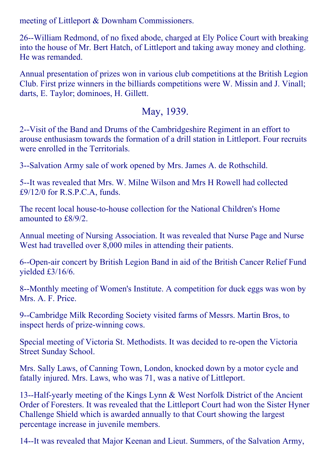meeting of Littleport & Downham Commissioners.

26--William Redmond, of no fixed abode, charged at Ely Police Court with breaking into the house of Mr. Bert Hatch, of Littleport and taking away money and clothing. He was remanded.

Annual presentation of prizes won in various club competitions at the British Legion Club. First prize winners in the billiards competitions were W. Missin and J. Vinall; darts, E. Taylor; dominoes, H. Gillett.

#### May, 1939.

2--Visit of the Band and Drums of the Cambridgeshire Regiment in an effort to arouse enthusiasm towards the formation of a drill station in Littleport. Four recruits were enrolled in the Territorials.

3--Salvation Army sale of work opened by Mrs. James A. de Rothschild.

5--It was revealed that Mrs. W. Milne Wilson and Mrs H Rowell had collected £9/12/0 for R.S.P.C.A, funds.

The recent local house-to-house collection for the National Children's Home amounted to £8/9/2.

Annual meeting of Nursing Association. It was revealed that Nurse Page and Nurse West had travelled over 8,000 miles in attending their patients.

6--Open-air concert by British Legion Band in aid of the British Cancer Relief Fund yielded £3/16/6.

8--Monthly meeting of Women's Institute. A competition for duck eggs was won by Mrs. A. F. Price.

9--Cambridge Milk Recording Society visited farms of Messrs. Martin Bros, to inspect herds of prize-winning cows.

Special meeting of Victoria St. Methodists. It was decided to re-open the Victoria Street Sunday School.

Mrs. Sally Laws, of Canning Town, London, knocked down by a motor cycle and fatally injured. Mrs. Laws, who was 71, was a native of Littleport.

13--Half-yearly meeting of the Kings Lynn & West Norfolk District of the Ancient Order of Foresters. It was revealed that the Littleport Court had won the Sister Hyner Challenge Shield which is awarded annually to that Court showing the largest percentage increase in juvenile members.

14--It was revealed that Major Keenan and Lieut. Summers, of the Salvation Army,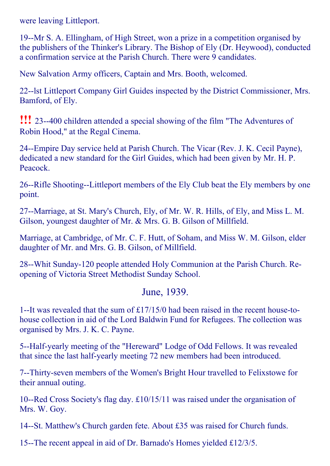were leaving Littleport.

19--Mr S. A. Ellingham, of High Street, won a prize in a competition organised by the publishers of the Thinker's Library. The Bishop of Ely (Dr. Heywood), conducted a confirmation service at the Parish Church. There were 9 candidates.

New Salvation Army officers, Captain and Mrs. Booth, welcomed.

22--1st Littleport Company Girl Guides inspected by the District Commissioner, Mrs. Bamford, of Ely.

**!!!** 23--400 children attended a special showing of the film "The Adventures of Robin Hood," at the Regal Cinema.

24--Empire Day service held at Parish Church. The Vicar (Rev. J. K. Cecil Payne), dedicated a new standard for the Girl Guides, which had been given by Mr. H. P. Peacock.

26--Rifle Shooting--Littleport members of the Ely Club beat the Ely members by one point.

27--Marriage, at St. Mary's Church, Ely, of Mr. W. R. Hills, of Ely, and Miss L. M. Gilson, youngest daughter of Mr. & Mrs. G. B. Gilson of Millfield.

Marriage, at Cambridge, of Mr. C. F. Hutt, of Soham, and Miss W. M. Gilson, elder daughter of Mr. and Mrs. G. B. Gilson, of Millfield.

28--Whit Sunday-120 people attended Holy Communion at the Parish Church. Reopening of Victoria Street Methodist Sunday School.

#### June, 1939.

1--It was revealed that the sum of  $\pounds$ 17/15/0 had been raised in the recent house-tohouse collection in aid of the Lord Baldwin Fund for Refugees. The collection was organised by Mrs. J. K. C. Payne.

5--Half-yearly meeting of the "Hereward" Lodge of Odd Fellows. It was revealed that since the last half-yearly meeting 72 new members had been introduced.

7--Thirty-seven members of the Women's Bright Hour travelled to Felixstowe for their annual outing.

10--Red Cross Society's flag day.  $\text{\pounds}10/15/11$  was raised under the organisation of Mrs. W. Goy.

14--St. Matthew's Church garden fete. About £35 was raised for Church funds.

15--The recent appeal in aid of Dr. Barnado's Homes yielded  $\pounds$ 12/3/5.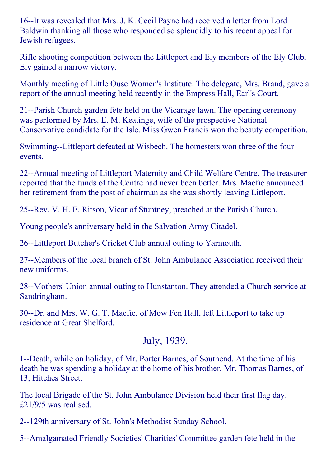16--It was revealed that Mrs. J. K. Cecil Payne had received a letter from Lord Baldwin thanking all those who responded so splendidly to his recent appeal for Jewish refugees.

Rifle shooting competition between the Littleport and Ely members of the Ely Club. Ely gained a narrow victory.

Monthly meeting of Little Ouse Women's Institute. The delegate, Mrs. Brand, gave a report of the annual meeting held recently in the Empress Hall, Earl's Court.

21--Parish Church garden fete held on the Vicarage lawn. The opening ceremony was performed by Mrs. E. M. Keatinge, wife of the prospective National Conservative candidate for the Isle. Miss Gwen Francis won the beauty competition.

Swimming--Littleport defeated at Wisbech. The homesters won three of the four events.

22--Annual meeting of Littleport Maternity and Child Welfare Centre. The treasurer reported that the funds of the Centre had never been better. Mrs. Macfie announced her retirement from the post of chairman as she was shortly leaving Littleport.

25--Rev. V. H. E. Ritson, Vicar of Stuntney, preached at the Parish Church.

Young people's anniversary held in the Salvation Army Citadel.

26--Littleport Butcher's Cricket Club annual outing to Yarmouth.

27--Members of the local branch of St. John Ambulance Association received their new uniforms.

28--Mothers' Union annual outing to Hunstanton. They attended a Church service at Sandringham.

30--Dr. and Mrs. W. G. T. Macfie, of Mow Fen Hall, left Littleport to take up residence at Great Shelford.

## July, 1939.

1--Death, while on holiday, of Mr. Porter Barnes, of Southend. At the time of his death he was spending a holiday at the home of his brother, Mr. Thomas Barnes, of 13, Hitches Street.

The local Brigade of the St. John Ambulance Division held their first flag day. £21/9/5 was realised.

2--129th anniversary of St. John's Methodist Sunday School.

5--Amalgamated Friendly Societies' Charities' Committee garden fete held in the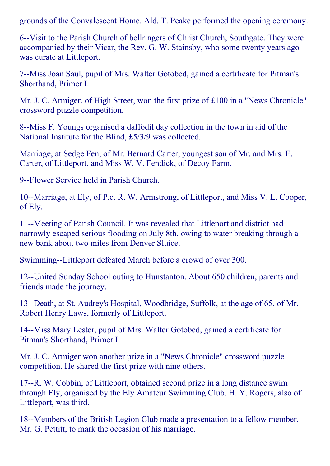grounds of the Convalescent Home. Ald. T. Peake performed the opening ceremony.

6--Visit to the Parish Church of bellringers of Christ Church, Southgate. They were accompanied by their Vicar, the Rev. G. W. Stainsby, who some twenty years ago was curate at Littleport.

7--Miss Joan Saul, pupil of Mrs. Walter Gotobed, gained a certificate for Pitman's Shorthand, Primer I.

Mr. J. C. Armiger, of High Street, won the first prize of £100 in a "News Chronicle" crossword puzzle competition.

8--Miss F. Youngs organised a daffodil day collection in the town in aid of the National Institute for the Blind, £5/3/9 was collected.

Marriage, at Sedge Fen, of Mr. Bernard Carter, youngest son of Mr. and Mrs. E. Carter, of Littleport, and Miss W. V. Fendick, of Decoy Farm.

9--Flower Service held in Parish Church.

10--Marriage, at Ely, of P.c. R. W. Armstrong, of Littleport, and Miss V. L. Cooper, of Ely.

11--Meeting of Parish Council. It was revealed that Littleport and district had narrowly escaped serious flooding on July 8th, owing to water breaking through a new bank about two miles from Denver Sluice.

Swimming--Littleport defeated March before a crowd of over 300.

12--United Sunday School outing to Hunstanton. About 650 children, parents and friends made the journey.

13--Death, at St. Audrey's Hospital, Woodbridge, Suffolk, at the age of 65, of Mr. Robert Henry Laws, formerly of Littleport.

14--Miss Mary Lester, pupil of Mrs. Walter Gotobed, gained a certificate for Pitman's Shorthand, Primer I.

Mr. J. C. Armiger won another prize in a "News Chronicle" crossword puzzle competition. He shared the first prize with nine others.

17--R. W. Cobbin, of Littleport, obtained second prize in a long distance swim through Ely, organised by the Ely Amateur Swimming Club. H. Y. Rogers, also of Littleport, was third.

18--Members of the British Legion Club made a presentation to a fellow member, Mr. G. Pettitt, to mark the occasion of his marriage.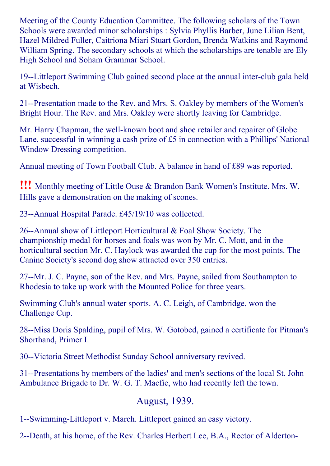Meeting of the County Education Committee. The following scholars of the Town Schools were awarded minor scholarships : Sylvia Phyllis Barber, June Lilian Bent, Hazel Mildred Fuller, Caitriona Miari Stuart Gordon, Brenda Watkins and Raymond William Spring. The secondary schools at which the scholarships are tenable are Ely High School and Soham Grammar School.

19--Littleport Swimming Club gained second place at the annual inter-club gala held at Wisbech.

21--Presentation made to the Rev. and Mrs. S. Oakley by members of the Women's Bright Hour. The Rev. and Mrs. Oakley were shortly leaving for Cambridge.

Mr. Harry Chapman, the well-known boot and shoe retailer and repairer of Globe Lane, successful in winning a cash prize of £5 in connection with a Phillips' National Window Dressing competition.

Annual meeting of Town Football Club. A balance in hand of £89 was reported.

!!! Monthly meeting of Little Ouse & Brandon Bank Women's Institute. Mrs. W. Hills gave a demonstration on the making of scones.

23--Annual Hospital Parade. £45/19/10 was collected.

26--Annual show of Littleport Horticultural  $&$  Foal Show Society. The championship medal for horses and foals was won by Mr. C. Mott, and in the horticultural section Mr. C. Haylock was awarded the cup for the most points. The Canine Society's second dog show attracted over 350 entries.

27--Mr. J. C. Payne, son of the Rev. and Mrs. Payne, sailed from Southampton to Rhodesia to take up work with the Mounted Police for three years.

Swimming Club's annual water sports. A. C. Leigh, of Cambridge, won the Challenge Cup.

28--Miss Doris Spalding, pupil of Mrs. W. Gotobed, gained a certificate for Pitman's Shorthand, Primer I.

30--Victoria Street Methodist Sunday School anniversary revived.

31--Presentations by members of the ladies' and men's sections of the local St. John Ambulance Brigade to Dr. W. G. T. Macfie, who had recently left the town.

## August, 1939.

1--Swimming-Littleport v. March. Littleport gained an easy victory.

2--Death, at his home, of the Rev. Charles Herbert Lee, B.A., Rector of Alderton-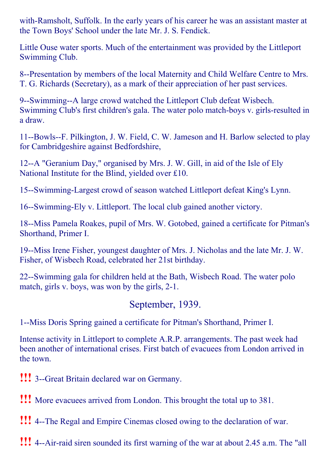with-Ramsholt, Suffolk. In the early years of his career he was an assistant master at the Town Boys' School under the late Mr. J. S. Fendick.

Little Ouse water sports. Much of the entertainment was provided by the Littleport Swimming Club.

8--Presentation by members of the local Maternity and Child Welfare Centre to Mrs. T. G. Richards (Secretary), as a mark of their appreciation of her past services.

9--Swimming--A large crowd watched the Littleport Club defeat Wisbech. Swimming Club's first children's gala. The water polo match-boys v. girls-resulted in a draw.

11--Bowls--F. Pilkington, J. W. Field, C. W. Jameson and H. Barlow selected to play for Cambridgeshire against Bedfordshire,

12--A "Geranium Day," organised by Mrs. J. W. Gill, in aid of the Isle of Ely National Institute for the Blind, yielded over £10.

15--Swimming-Largest crowd of season watched Littleport defeat King's Lynn.

16--Swimming-Ely v. Littleport. The local club gained another victory.

18--Miss Pamela Roakes, pupil of Mrs. W. Gotobed, gained a certificate for Pitman's Shorthand, Primer I.

19--Miss Irene Fisher, youngest daughter of Mrs. J. Nicholas and the late Mr. J. W. Fisher, of Wisbech Road, celebrated her 21st birthday.

22--Swimming gala for children held at the Bath, Wisbech Road. The water polo match, girls v. boys, was won by the girls, 2-1.

## September, 1939.

1--Miss Doris Spring gained a certificate for Pitman's Shorthand, Primer I.

Intense activity in Littleport to complete A.R.P. arrangements. The past week had been another of international crises. First batch of evacuees from London arrived in the town.

- **!!!** 3--Great Britain declared war on Germany.
- !!! More evacuees arrived from London. This brought the total up to 381.

**!!!** 4--The Regal and Empire Cinemas closed owing to the declaration of war.

**!!!** 4--Air-raid siren sounded its first warning of the war at about 2.45 a.m. The "all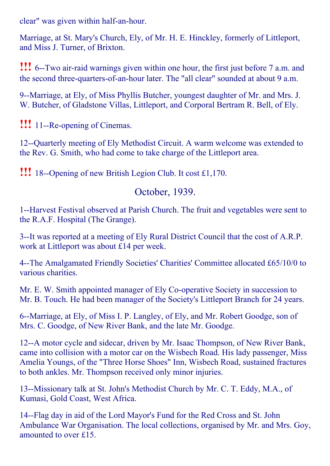clear" was given within half-an-hour.

Marriage, at St. Mary's Church, Ely, of Mr. H. E. Hinckley, formerly of Littleport, and Miss J. Turner, of Brixton.

**!!!** 6--Two air-raid warnings given within one hour, the first just before 7 a.m. and the second three-quarters-of-an-hour later. The "all clear" sounded at about 9 a.m.

9--Marriage, at Ely, of Miss Phyllis Butcher, youngest daughter of Mr. and Mrs. J. W. Butcher, of Gladstone Villas, Littleport, and Corporal Bertram R. Bell, of Ely.

**!!!** 11--Re-opening of Cinemas.

12--Quarterly meeting of Ely Methodist Circuit. A warm welcome was extended to the Rev. G. Smith, who had come to take charge of the Littleport area.

!!! 18--Opening of new British Legion Club. It cost £1,170.

## October, 1939.

1--Harvest Festival observed at Parish Church. The fruit and vegetables were sent to the R.A.F. Hospital (The Grange).

3--It was reported at a meeting of Ely Rural District Council that the cost of A.R.P. work at Littleport was about £14 per week.

4--The Amalgamated Friendly Societies' Charities' Committee allocated £65/10/0 to various charities.

Mr. E. W. Smith appointed manager of Ely Co-operative Society in succession to Mr. B. Touch. He had been manager of the Society's Littleport Branch for 24 years.

6--Marriage, at Ely, of Miss I. P. Langley, of Ely, and Mr. Robert Goodge, son of Mrs. C. Goodge, of New River Bank, and the late Mr. Goodge.

12--A motor cycle and sidecar, driven by Mr. Isaac Thompson, of New River Bank, came into collision with a motor car on the Wisbech Road. His lady passenger, Miss Amelia Youngs, of the "Three Horse Shoes" Inn, Wisbech Road, sustained fractures to both ankles. Mr. Thompson received only minor injuries.

13--Missionary talk at St. John's Methodist Church by Mr. C. T. Eddy, M.A., of Kumasi, Gold Coast, West Africa.

14--Flag day in aid of the Lord Mayor's Fund for the Red Cross and St. John Ambulance War Organisation. The local collections, organised by Mr. and Mrs. Goy, amounted to over £15.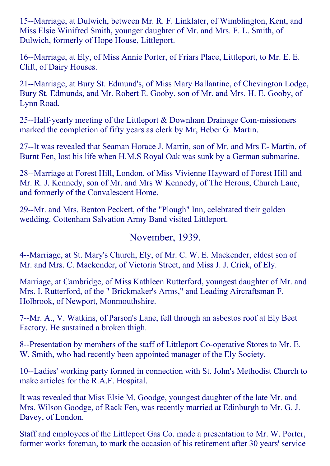15--Marriage, at Dulwich, between Mr. R. F. Linklater, of Wimblington, Kent, and Miss Elsie Winifred Smith, younger daughter of Mr. and Mrs. F. L. Smith, of Dulwich, formerly of Hope House, Littleport.

16--Marriage, at Ely, of Miss Annie Porter, of Friars Place, Littleport, to Mr. E. E. Clift, of Dairy Houses.

21--Marriage, at Bury St. Edmund's, of Miss Mary Ballantine, of Chevington Lodge, Bury St. Edmunds, and Mr. Robert E. Gooby, son of Mr. and Mrs. H. E. Gooby, of Lynn Road.

25--Half-yearly meeting of the Littleport  $&$  Downham Drainage Com-missioners marked the completion of fifty years as clerk by Mr, Heber G. Martin.

27--It was revealed that Seaman Horace J. Martin, son of Mr. and Mrs E- Martin, of Burnt Fen, lost his life when H.M.S Royal Oak was sunk by a German submarine.

28--Marriage at Forest Hill, London, of Miss Vivienne Hayward of Forest Hill and Mr. R. J. Kennedy, son of Mr. and Mrs W Kennedy, of The Herons, Church Lane, and formerly of the Convalescent Home.

29--Mr. and Mrs. Benton Peckett, of the "Plough" Inn, celebrated their golden wedding. Cottenham Salvation Army Band visited Littleport.

#### November, 1939.

4--Marriage, at St. Mary's Church, Ely, of Mr. C. W. E. Mackender, eldest son of Mr. and Mrs. C. Mackender, of Victoria Street, and Miss J. J. Crick, of Ely.

Marriage, at Cambridge, of Miss Kathleen Rutterford, youngest daughter of Mr. and Mrs. I. Rutterford, of the " Brickmaker's Arms," and Leading Aircraftsman F. Holbrook, of Newport, Monmouthshire.

7--Mr. A., V. Watkins, of Parson's Lane, fell through an asbestos roof at Ely Beet Factory. He sustained a broken thigh.

8--Presentation by members of the staff of Littleport Co-operative Stores to Mr. E. W. Smith, who had recently been appointed manager of the Ely Society.

10--Ladies' working party formed in connection with St. John's Methodist Church to make articles for the R.A.F. Hospital.

It was revealed that Miss Elsie M. Goodge, youngest daughter of the late Mr. and Mrs. Wilson Goodge, of Rack Fen, was recently married at Edinburgh to Mr. G. J. Davey, of London.

Staff and employees of the Littleport Gas Co. made a presentation to Mr. W. Porter, former works foreman, to mark the occasion of his retirement after 30 years' service